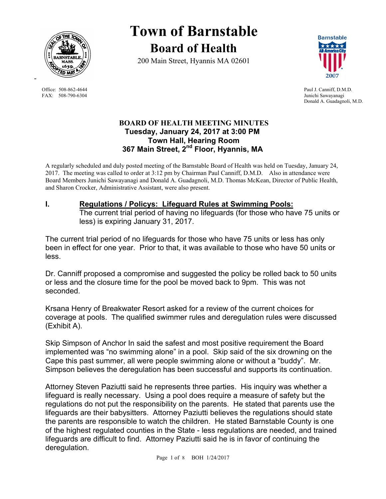

FAX: 508-790-6304 Junichi Sawayanagi

-

# **Town of Barnstable Board of Health**

200 Main Street, Hyannis MA 02601



Office: 508-862-4644 Paul J. Canniff, D.M.D. Donald A. Guadagnoli, M.D.

# **BOARD OF HEALTH MEETING MINUTES Tuesday, January 24, 2017 at 3:00 PM Town Hall, Hearing Room 367 Main Street, 2nd Floor, Hyannis, MA**

A regularly scheduled and duly posted meeting of the Barnstable Board of Health was held on Tuesday, January 24, 2017. The meeting was called to order at 3:12 pm by Chairman Paul Canniff, D.M.D. Also in attendance were Board Members Junichi Sawayanagi and Donald A. Guadagnoli, M.D. Thomas McKean, Director of Public Health, and Sharon Crocker, Administrative Assistant, were also present.

# **I. Regulations / Policys: Lifeguard Rules at Swimming Pools:**

The current trial period of having no lifeguards (for those who have 75 units or less) is expiring January 31, 2017.

The current trial period of no lifeguards for those who have 75 units or less has only been in effect for one year. Prior to that, it was available to those who have 50 units or less.

Dr. Canniff proposed a compromise and suggested the policy be rolled back to 50 units or less and the closure time for the pool be moved back to 9pm. This was not seconded.

Krsana Henry of Breakwater Resort asked for a review of the current choices for coverage at pools. The qualified swimmer rules and deregulation rules were discussed (Exhibit A).

Skip Simpson of Anchor In said the safest and most positive requirement the Board implemented was "no swimming alone" in a pool. Skip said of the six drowning on the Cape this past summer, all were people swimming alone or without a "buddy". Mr. Simpson believes the deregulation has been successful and supports its continuation.

Attorney Steven Paziutti said he represents three parties. His inquiry was whether a lifeguard is really necessary. Using a pool does require a measure of safety but the regulations do not put the responsibility on the parents. He stated that parents use the lifeguards are their babysitters. Attorney Paziutti believes the regulations should state the parents are responsible to watch the children. He stated Barnstable County is one of the highest regulated counties in the State - less regulations are needed, and trained lifeguards are difficult to find. Attorney Paziutti said he is in favor of continuing the deregulation.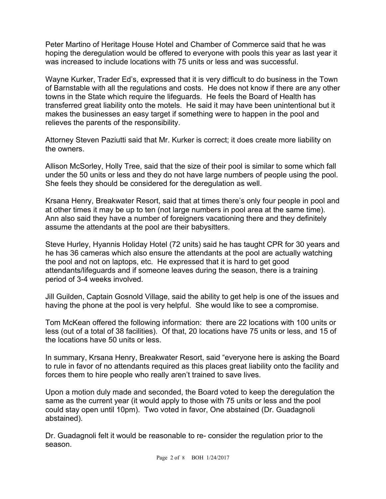Peter Martino of Heritage House Hotel and Chamber of Commerce said that he was hoping the deregulation would be offered to everyone with pools this year as last year it was increased to include locations with 75 units or less and was successful.

Wayne Kurker, Trader Ed's, expressed that it is very difficult to do business in the Town of Barnstable with all the regulations and costs. He does not know if there are any other towns in the State which require the lifeguards. He feels the Board of Health has transferred great liability onto the motels. He said it may have been unintentional but it makes the businesses an easy target if something were to happen in the pool and relieves the parents of the responsibility.

Attorney Steven Paziutti said that Mr. Kurker is correct; it does create more liability on the owners.

Allison McSorley, Holly Tree, said that the size of their pool is similar to some which fall under the 50 units or less and they do not have large numbers of people using the pool. She feels they should be considered for the deregulation as well.

Krsana Henry, Breakwater Resort, said that at times there's only four people in pool and at other times it may be up to ten (not large numbers in pool area at the same time). Ann also said they have a number of foreigners vacationing there and they definitely assume the attendants at the pool are their babysitters.

Steve Hurley, Hyannis Holiday Hotel (72 units) said he has taught CPR for 30 years and he has 36 cameras which also ensure the attendants at the pool are actually watching the pool and not on laptops, etc. He expressed that it is hard to get good attendants/lifeguards and if someone leaves during the season, there is a training period of 3-4 weeks involved.

Jill Guilden, Captain Gosnold Village, said the ability to get help is one of the issues and having the phone at the pool is very helpful. She would like to see a compromise.

Tom McKean offered the following information: there are 22 locations with 100 units or less (out of a total of 38 facilities). Of that, 20 locations have 75 units or less, and 15 of the locations have 50 units or less.

In summary, Krsana Henry, Breakwater Resort, said "everyone here is asking the Board to rule in favor of no attendants required as this places great liability onto the facility and forces them to hire people who really aren't trained to save lives.

Upon a motion duly made and seconded, the Board voted to keep the deregulation the same as the current year (it would apply to those with 75 units or less and the pool could stay open until 10pm). Two voted in favor, One abstained (Dr. Guadagnoli abstained).

Dr. Guadagnoli felt it would be reasonable to re- consider the regulation prior to the season.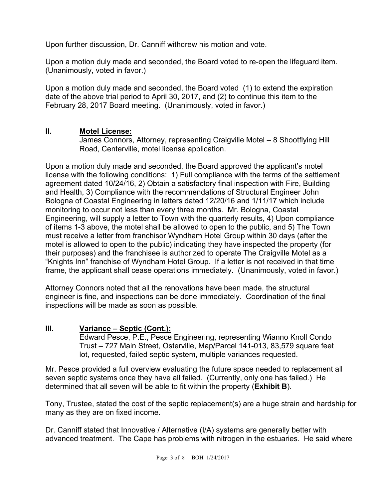Upon further discussion, Dr. Canniff withdrew his motion and vote.

Upon a motion duly made and seconded, the Board voted to re-open the lifeguard item. (Unanimously, voted in favor.)

Upon a motion duly made and seconded, the Board voted (1) to extend the expiration date of the above trial period to April 30, 2017, and (2) to continue this item to the February 28, 2017 Board meeting. (Unanimously, voted in favor.)

# **II. Motel License:**

James Connors, Attorney, representing Craigville Motel – 8 Shootflying Hill Road, Centerville, motel license application.

Upon a motion duly made and seconded, the Board approved the applicant's motel license with the following conditions: 1) Full compliance with the terms of the settlement agreement dated 10/24/16, 2) Obtain a satisfactory final inspection with Fire, Building and Health, 3) Compliance with the recommendations of Structural Engineer John Bologna of Coastal Engineering in letters dated 12/20/16 and 1/11/17 which include monitoring to occur not less than every three months. Mr. Bologna, Coastal Engineering, will supply a letter to Town with the quarterly results, 4) Upon compliance of items 1-3 above, the motel shall be allowed to open to the public, and 5) The Town must receive a letter from franchisor Wyndham Hotel Group within 30 days (after the motel is allowed to open to the public) indicating they have inspected the property (for their purposes) and the franchisee is authorized to operate The Craigville Motel as a "Knights Inn" franchise of Wyndham Hotel Group. If a letter is not received in that time frame, the applicant shall cease operations immediately. (Unanimously, voted in favor.)

Attorney Connors noted that all the renovations have been made, the structural engineer is fine, and inspections can be done immediately. Coordination of the final inspections will be made as soon as possible.

# **III. Variance – Septic (Cont.):**

Edward Pesce, P.E., Pesce Engineering, representing Wianno Knoll Condo Trust – 727 Main Street, Osterville, Map/Parcel 141-013, 83,579 square feet lot, requested, failed septic system, multiple variances requested.

Mr. Pesce provided a full overview evaluating the future space needed to replacement all seven septic systems once they have all failed. (Currently, only one has failed.) He determined that all seven will be able to fit within the property (**Exhibit B**).

Tony, Trustee, stated the cost of the septic replacement(s) are a huge strain and hardship for many as they are on fixed income.

Dr. Canniff stated that Innovative / Alternative (I/A) systems are generally better with advanced treatment. The Cape has problems with nitrogen in the estuaries. He said where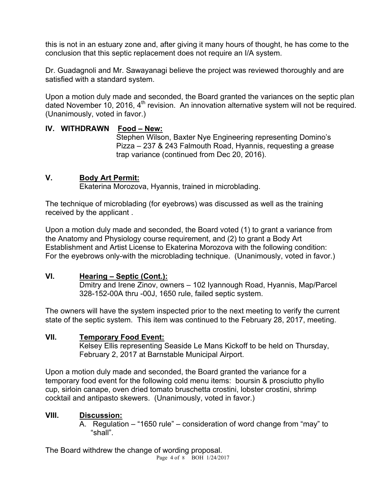this is not in an estuary zone and, after giving it many hours of thought, he has come to the conclusion that this septic replacement does not require an I/A system.

Dr. Guadagnoli and Mr. Sawayanagi believe the project was reviewed thoroughly and are satisfied with a standard system.

Upon a motion duly made and seconded, the Board granted the variances on the septic plan dated November 10, 2016, 4<sup>th</sup> revision. An innovation alternative system will not be required. (Unanimously, voted in favor.)

# **IV. WITHDRAWN Food – New:**

Stephen Wilson, Baxter Nye Engineering representing Domino's Pizza – 237 & 243 Falmouth Road, Hyannis, requesting a grease trap variance (continued from Dec 20, 2016).

# **V. Body Art Permit:**

Ekaterina Morozova, Hyannis, trained in microblading.

The technique of microblading (for eyebrows) was discussed as well as the training received by the applicant .

Upon a motion duly made and seconded, the Board voted (1) to grant a variance from the Anatomy and Physiology course requirement, and (2) to grant a Body Art Establishment and Artist License to Ekaterina Morozova with the following condition: For the eyebrows only-with the microblading technique. (Unanimously, voted in favor.)

# **VI. Hearing – Septic (Cont.):**

Dmitry and Irene Zinov, owners – 102 Iyannough Road, Hyannis, Map/Parcel 328-152-00A thru -00J, 1650 rule, failed septic system.

The owners will have the system inspected prior to the next meeting to verify the current state of the septic system. This item was continued to the February 28, 2017, meeting.

# **VII. Temporary Food Event:**

Kelsey Ellis representing Seaside Le Mans Kickoff to be held on Thursday, February 2, 2017 at Barnstable Municipal Airport.

Upon a motion duly made and seconded, the Board granted the variance for a temporary food event for the following cold menu items: boursin & prosciutto phyllo cup, sirloin canape, oven dried tomato bruschetta crostini, lobster crostini, shrimp cocktail and antipasto skewers. (Unanimously, voted in favor.)

# **VIII. Discussion:**

A. Regulation – "1650 rule" – consideration of word change from "may" to "shall".

Page 4 of 8 BOH 1/24/2017 The Board withdrew the change of wording proposal.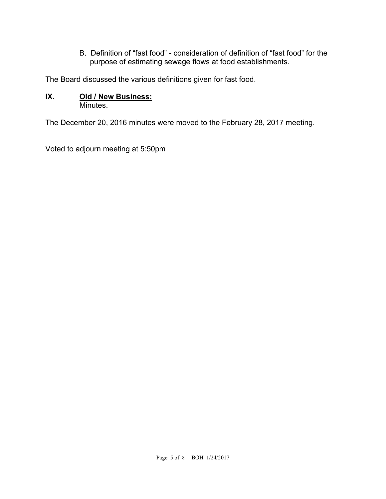B. Definition of "fast food" - consideration of definition of "fast food" for the purpose of estimating sewage flows at food establishments.

The Board discussed the various definitions given for fast food.

#### **IX. Old / New Business: Minutes**

The December 20, 2016 minutes were moved to the February 28, 2017 meeting.

Voted to adjourn meeting at 5:50pm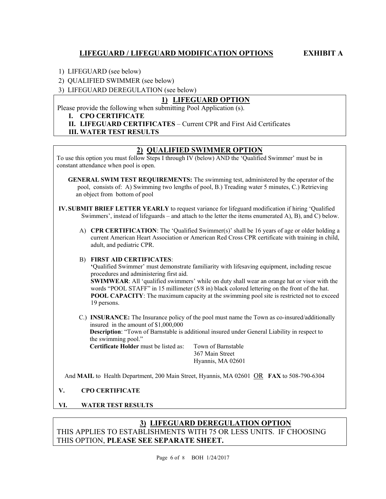# **LIFEGUARD / LIFEGUARD MODIFICATION OPTIONS EXHIBIT A**

1) LIFEGUARD (see below)

2) QUALIFIED SWIMMER (see below)

3) LIFEGUARD DEREGULATION (see below)

#### **1) LIFEGUARD OPTION**

Please provide the following when submitting Pool Application (s).

#### **I. CPO CERTIFICATE**

**II. LIFEGUARD CERTIFICATES** – Current CPR and First Aid Certificates

#### **III. WATER TEST RESULTS**

#### **2) QUALIFIED SWIMMER OPTION**

To use this option you must follow Steps I through IV (below) AND the 'Qualified Swimmer' must be in constant attendance when pool is open.

- **GENERAL SWIM TEST REQUIREMENTS:** The swimming test, administered by the operator of the pool, consists of: A) Swimming two lengths of pool, B.) Treading water 5 minutes, C.) Retrieving an object from bottom of pool
- **IV.SUBMIT BRIEF LETTER YEARLY** to request variance for lifeguard modification if hiring 'Qualified Swimmers', instead of lifeguards – and attach to the letter the items enumerated A), B), and C) below.
	- A) **CPR CERTIFICATION**: The 'Qualified Swimmer(s)' shall be 16 years of age or older holding a current American Heart Association or American Red Cross CPR certificate with training in child, adult, and pediatric CPR.

#### B) **FIRST AID CERTIFICATES**:

**'**Qualified Swimmer' must demonstrate familiarity with lifesaving equipment, including rescue procedures and administering first aid.

**SWIMWEAR**: All 'qualified swimmers' while on duty shall wear an orange hat or visor with the words "POOL STAFF" in 15 millimeter (5/8 in) black colored lettering on the front of the hat. **POOL CAPACITY**: The maximum capacity at the swimming pool site is restricted not to exceed 19 persons.

C.) **INSURANCE:** The Insurance policy of the pool must name the Town as co-insured/additionally insured in the amount of \$1,000,000 **Description**: "Town of Barnstable is additional insured under General Liability in respect to the swimming pool."

**Certificate Holder** must be listed as: Town of Barnstable

 367 Main Street Hyannis, MA 02601

And **MAIL** to Health Department, 200 Main Street, Hyannis, MA 02601 OR **FAX** to 508-790-6304

#### **V. CPO CERTIFICATE**

**VI. WATER TEST RESULTS**

# **3) LIFEGUARD DEREGULATION OPTION**  THIS APPLIES TO ESTABLISHMENTS WITH 75 OR LESS UNITS. IF CHOOSING THIS OPTION, **PLEASE SEE SEPARATE SHEET.**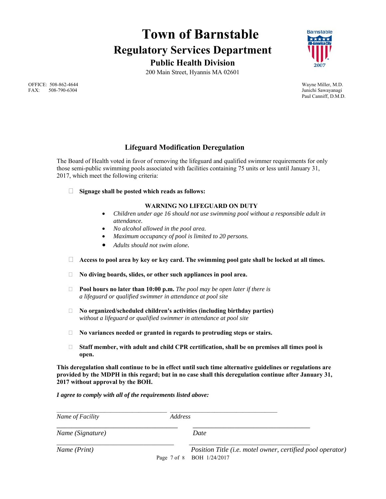# **Town of Barnstable Regulatory Services Department Public Health Division**

200 Main Street, Hyannis MA 02601

**Barnstable** 

Paul Canniff, D.M.D.

 OFFICE: 508-862-4644 Wayne Miller, M.D. FAX: 508-790-6304 Junichi Sawayanagi

# **Lifeguard Modification Deregulation**

The Board of Health voted in favor of removing the lifeguard and qualified swimmer requirements for only those semi-public swimming pools associated with facilities containing 75 units or less until January 31, 2017, which meet the following criteria:

**Signage shall be posted which reads as follows:** 

#### **WARNING NO LIFEGUARD ON DUTY**

- *Children under age 16 should not use swimming pool without a responsible adult in attendance.*
- *No alcohol allowed in the pool area.*
- *Maximum occupancy of pool is limited to 20 persons.*
- *Adults should not swim alone.*
- **Access to pool area by key or key card. The swimming pool gate shall be locked at all times.**
- **No diving boards, slides, or other such appliances in pool area.**
- **Pool hours no later than 10:00 p.m.** *The pool may be open later if there is a lifeguard or qualified swimmer in attendance at pool site*
- **No organized/scheduled children's activities (including birthday parties)**  *without a lifeguard or qualified swimmer in attendance at pool site*
- **No variances needed or granted in regards to protruding steps or stairs.**
- **Staff member, with adult and child CPR certification, shall be on premises all times pool is open.**

**This deregulation shall continue to be in effect until such time alternative guidelines or regulations are provided by the MDPH in this regard; but in no case shall this deregulation continue after January 31, 2017 without approval by the BOH.** 

*I agree to comply with all of the requirements listed above:* 

| Name of Facility | <i>Address</i> |                                                                                         |
|------------------|----------------|-----------------------------------------------------------------------------------------|
| Name (Signature) |                | Date                                                                                    |
| Name (Print)     |                | Position Title (i.e. motel owner, certified pool operator)<br>Page 7 of 8 BOH 1/24/2017 |